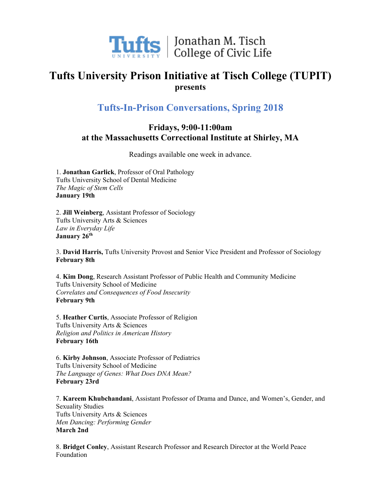

 $\prod_{v}$   $\prod_{v}$   $\prod_{v}$   $\prod_{v}$   $\prod_{v}$   $\prod_{v}$   $\prod_{v}$   $\prod_{v}$   $\prod_{v}$   $\prod_{v}$   $\prod_{v}$   $\prod_{v}$   $\prod_{v}$   $\prod_{v}$   $\prod_{v}$   $\prod_{v}$   $\prod_{v}$   $\prod_{v}$   $\prod_{v}$   $\prod_{v}$   $\prod_{v}$   $\prod_{v}$   $\prod_{v}$   $\prod_{v}$   $\prod_{v}$   $\prod_{v}$   $\prod_{v}$   $\prod_{v$ 

## **Tufts University Prison Initiative at Tisch College (TUPIT) presents**

## **Tufts-In-Prison Conversations, Spring 2018**

## **Fridays, 9:00-11:00am at the Massachusetts Correctional Institute at Shirley, MA**

Readings available one week in advance.

1. **Jonathan Garlick**, Professor of Oral Pathology Tufts University School of Dental Medicine *The Magic of Stem Cells* **January 19th**

2. **Jill Weinberg**, Assistant Professor of Sociology Tufts University Arts & Sciences *Law in Everyday Life* **January 26th**

3. **David Harris,** Tufts University Provost and Senior Vice President and Professor of Sociology **February 8th**

4. **Kim Dong**, Research Assistant Professor of Public Health and Community Medicine Tufts University School of Medicine *Correlates and Consequences of Food Insecurity* **February 9th**

5. **Heather Curtis**, Associate Professor of Religion Tufts University Arts & Sciences *Religion and Politics in American History* **February 16th**

6. **Kirby Johnson**, Associate Professor of Pediatrics Tufts University School of Medicine *The Language of Genes: What Does DNA Mean?* **February 23rd**

7. **Kareem Khubchandani**, Assistant Professor of Drama and Dance, and Women's, Gender, and Sexuality Studies Tufts University Arts & Sciences *Men Dancing: Performing Gender* **March 2nd**

8. **Bridget Conley**, Assistant Research Professor and Research Director at the World Peace Foundation